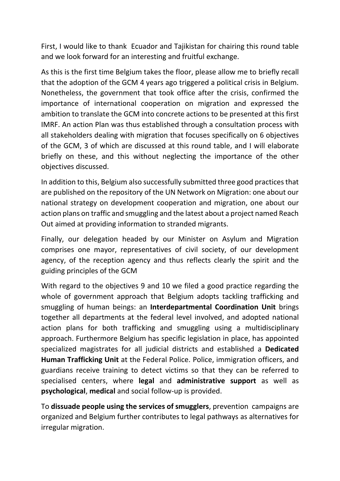First, I would like to thank Ecuador and Tajikistan for chairing this round table and we look forward for an interesting and fruitful exchange.

As this is the first time Belgium takes the floor, please allow me to briefly recall that the adoption of the GCM 4 years ago triggered a political crisis in Belgium. Nonetheless, the government that took office after the crisis, confirmed the importance of international cooperation on migration and expressed the ambition to translate the GCM into concrete actions to be presented at this first IMRF. An action Plan was thus established through a consultation process with all stakeholders dealing with migration that focuses specifically on 6 objectives of the GCM, 3 of which are discussed at this round table, and I will elaborate briefly on these, and this without neglecting the importance of the other objectives discussed.

In addition to this, Belgium also successfully submitted three good practices that are published on the repository of the UN Network on Migration: one about our national strategy on development cooperation and migration, one about our action plans on traffic and smuggling and the latest about a project named Reach Out aimed at providing information to stranded migrants.

Finally, our delegation headed by our Minister on Asylum and Migration comprises one mayor, representatives of civil society, of our development agency, of the reception agency and thus reflects clearly the spirit and the guiding principles of the GCM

With regard to the objectives 9 and 10 we filed a good practice regarding the whole of government approach that Belgium adopts tackling trafficking and smuggling of human beings: an **Interdepartmental Coordination Unit** brings together all departments at the federal level involved, and adopted national action plans for both trafficking and smuggling using a multidisciplinary approach. Furthermore Belgium has specific legislation in place, has appointed specialized magistrates for all judicial districts and established a **Dedicated Human Trafficking Unit** at the Federal Police. Police, immigration officers, and guardians receive training to detect victims so that they can be referred to specialised centers, where **legal** and **administrative support** as well as **psychological**, **medical** and social follow-up is provided.

To **dissuade people using the services of smugglers**, prevention campaigns are organized and Belgium further contributes to legal pathways as alternatives for irregular migration.